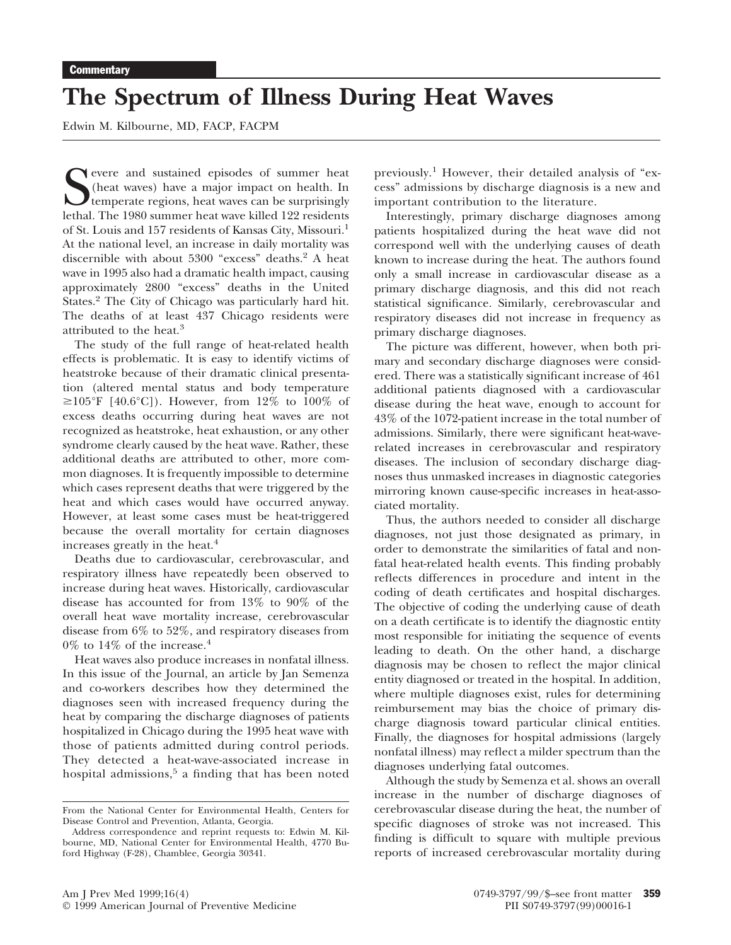## **The Spectrum of Illness During Heat Waves**

Edwin M. Kilbourne, MD, FACP, FACPM

Summer heat Summer and sustained episodes of summer heat (heat waves) have a major impact on health. In temperate regions, heat waves can be surprisingly lethal. The 1980 summer heat wave killed 122 residents evere and sustained episodes of summer heat (heat waves) have a major impact on health. In temperate regions, heat waves can be surprisingly of St. Louis and 157 residents of Kansas City, Missouri.1 At the national level, an increase in daily mortality was discernible with about 5300 "excess" deaths.<sup>2</sup> A heat wave in 1995 also had a dramatic health impact, causing approximately 2800 "excess" deaths in the United States.<sup>2</sup> The City of Chicago was particularly hard hit. The deaths of at least 437 Chicago residents were attributed to the heat.<sup>3</sup>

The study of the full range of heat-related health effects is problematic. It is easy to identify victims of heatstroke because of their dramatic clinical presentation (altered mental status and body temperature  $\geq 105^{\circ}$ F [40.6°C]). However, from 12% to 100% of excess deaths occurring during heat waves are not recognized as heatstroke, heat exhaustion, or any other syndrome clearly caused by the heat wave. Rather, these additional deaths are attributed to other, more common diagnoses. It is frequently impossible to determine which cases represent deaths that were triggered by the heat and which cases would have occurred anyway. However, at least some cases must be heat-triggered because the overall mortality for certain diagnoses increases greatly in the heat.<sup>4</sup>

Deaths due to cardiovascular, cerebrovascular, and respiratory illness have repeatedly been observed to increase during heat waves. Historically, cardiovascular disease has accounted for from 13% to 90% of the overall heat wave mortality increase, cerebrovascular disease from 6% to 52%, and respiratory diseases from  $0\%$  to  $14\%$  of the increase.<sup>4</sup>

Heat waves also produce increases in nonfatal illness. In this issue of the Journal, an article by Jan Semenza and co-workers describes how they determined the diagnoses seen with increased frequency during the heat by comparing the discharge diagnoses of patients hospitalized in Chicago during the 1995 heat wave with those of patients admitted during control periods. They detected a heat-wave-associated increase in hospital admissions, $5$  a finding that has been noted previously.<sup>1</sup> However, their detailed analysis of "excess" admissions by discharge diagnosis is a new and important contribution to the literature.

Interestingly, primary discharge diagnoses among patients hospitalized during the heat wave did not correspond well with the underlying causes of death known to increase during the heat. The authors found only a small increase in cardiovascular disease as a primary discharge diagnosis, and this did not reach statistical significance. Similarly, cerebrovascular and respiratory diseases did not increase in frequency as primary discharge diagnoses.

The picture was different, however, when both primary and secondary discharge diagnoses were considered. There was a statistically significant increase of 461 additional patients diagnosed with a cardiovascular disease during the heat wave, enough to account for 43% of the 1072-patient increase in the total number of admissions. Similarly, there were significant heat-waverelated increases in cerebrovascular and respiratory diseases. The inclusion of secondary discharge diagnoses thus unmasked increases in diagnostic categories mirroring known cause-specific increases in heat-associated mortality.

Thus, the authors needed to consider all discharge diagnoses, not just those designated as primary, in order to demonstrate the similarities of fatal and nonfatal heat-related health events. This finding probably reflects differences in procedure and intent in the coding of death certificates and hospital discharges. The objective of coding the underlying cause of death on a death certificate is to identify the diagnostic entity most responsible for initiating the sequence of events leading to death. On the other hand, a discharge diagnosis may be chosen to reflect the major clinical entity diagnosed or treated in the hospital. In addition, where multiple diagnoses exist, rules for determining reimbursement may bias the choice of primary discharge diagnosis toward particular clinical entities. Finally, the diagnoses for hospital admissions (largely nonfatal illness) may reflect a milder spectrum than the diagnoses underlying fatal outcomes.

Although the study by Semenza et al. shows an overall increase in the number of discharge diagnoses of cerebrovascular disease during the heat, the number of specific diagnoses of stroke was not increased. This finding is difficult to square with multiple previous reports of increased cerebrovascular mortality during

From the National Center for Environmental Health, Centers for Disease Control and Prevention, Atlanta, Georgia.

Address correspondence and reprint requests to: Edwin M. Kilbourne, MD, National Center for Environmental Health, 4770 Buford Highway (F-28), Chamblee, Georgia 30341.